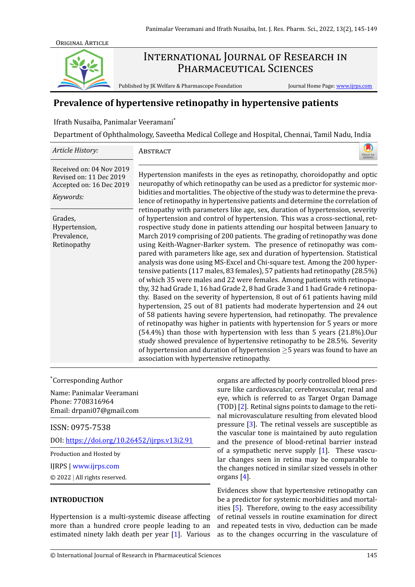

# INTERNATIONAL JOURNAL OF RESEARCH IN PHARMACEUTICAL SCIENCES

Published by JK Welfare & Pharmascope Foundation

Journal Home Page: www.ijrps.com

# Prevalence of hypertensive retinopathy in hypertensive patients

Ifrath Nusaiba, Panimalar Veeramani\*

Department of Ophthalmology, Saveetha Medical College and Hospital, Chennai, Tamil Nadu, India

| Article History:                                                                             | ABSTRACT<br>updates                                                                                                                                                                                                                                                                                                                                                                                                                                                                                                                                                                                                                                                                                                                                                                                                                                                                                                                                                                                                                                                                                                                                                                                                                                                                                                                                                                                                                     |
|----------------------------------------------------------------------------------------------|-----------------------------------------------------------------------------------------------------------------------------------------------------------------------------------------------------------------------------------------------------------------------------------------------------------------------------------------------------------------------------------------------------------------------------------------------------------------------------------------------------------------------------------------------------------------------------------------------------------------------------------------------------------------------------------------------------------------------------------------------------------------------------------------------------------------------------------------------------------------------------------------------------------------------------------------------------------------------------------------------------------------------------------------------------------------------------------------------------------------------------------------------------------------------------------------------------------------------------------------------------------------------------------------------------------------------------------------------------------------------------------------------------------------------------------------|
| Received on: 04 Nov 2019<br>Revised on: 11 Dec 2019<br>Accepted on: 16 Dec 2019<br>Keywords: | Hypertension manifests in the eyes as retinopathy, choroidopathy and optic<br>neuropathy of which retinopathy can be used as a predictor for systemic mor-<br>bidities and mortalities. The objective of the study was to determine the preva-<br>lence of retinopathy in hypertensive patients and determine the correlation of                                                                                                                                                                                                                                                                                                                                                                                                                                                                                                                                                                                                                                                                                                                                                                                                                                                                                                                                                                                                                                                                                                        |
| Grades,<br>Hypertension,<br>Prevalence,<br>Retinopathy                                       | retinopathy with parameters like age, sex, duration of hypertension, severity<br>of hypertension and control of hypertension. This was a cross-sectional, ret-<br>rospective study done in patients attending our hospital between January to<br>March 2019 comprising of 200 patients. The grading of retinopathy was done<br>using Keith-Wagner-Barker system. The presence of retinopathy was com-<br>pared with parameters like age, sex and duration of hypertension. Statistical<br>analysis was done using MS-Excel and Chi-square test. Among the 200 hyper-<br>tensive patients (117 males, 83 females), 57 patients had retinopathy (28.5%)<br>of which 35 were males and 22 were females. Among patients with retinopa-<br>thy, 32 had Grade 1, 16 had Grade 2, 8 had Grade 3 and 1 had Grade 4 retinopa-<br>thy. Based on the severity of hypertension, 8 out of 61 patients having mild<br>hypertension, 25 out of 81 patients had moderate hypertension and 24 out<br>of 58 patients having severe hypertension, had retinopathy. The prevalence<br>of retinopathy was higher in patients with hypertension for 5 years or more<br>(54.4%) than those with hypertension with less than 5 years (21.8%).Our<br>study showed prevalence of hypertensive retinopathy to be 28.5%. Severity<br>of hypertension and duration of hypertension $\geq$ 5 years was found to have an<br>association with hypertensive retinopathy. |

#### *\*Corresponding Author*

Name: Panimalar Veeramani Phone: 7708316964 Email: drpani07@gmail.com

ISSN: 0975-7538

DOI: https://doi.org/10.26452/ijrps.v13i2.91

Production and Hosted by

IJRPS | www.ijrps.com

© 2022 | All rights reserved.

## **INTRODUCTION**

Hypertension is a multi-systemic disease affecting more than a hundred crore people leading to an estimated ninety lakh death per year [1]. Various

organs are affected by poorly controlled blood pressure like cardiovascular, cerebrovascular, renal and eye, which is referred to as Target Organ Damage (TOD) [2]. Retinal signs points to damage to the retinal microvasculature resulting from elevated blood pressure  $\lceil 3 \rceil$ . The retinal vessels are susceptible as the vascular tone is maintained by auto regulation and the presence of blood-retinal barrier instead of a sympathetic nerve supply  $[1]$ . These vascular changes seen in retina may be comparable to the changes noticed in similar sized vessels in other organs  $[4]$ .

Evidences show that hypertensive retinopathy can be a predictor for systemic morbidities and mortalities [5]. Therefore, owing to the easy accessibility of retinal vessels in routine examination for direct and repeated tests in vivo, deduction can be made as to the changes occurring in the vasculature of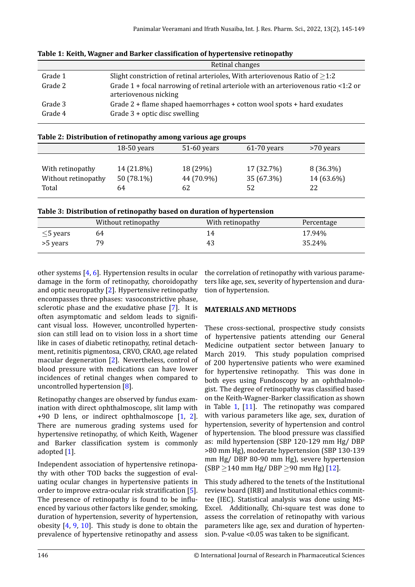<span id="page-1-0"></span>

|         | Retinal changes                                                                                               |
|---------|---------------------------------------------------------------------------------------------------------------|
| Grade 1 | Slight constriction of retinal arterioles, With arteriovenous Ratio of $>1.2$                                 |
| Grade 2 | Grade $1 +$ focal narrowing of retinal arteriole with an arteriovenous ratio <1:2 or<br>arteriovenous nicking |
| Grade 3 | Grade $2 +$ flame shaped haemorrhages $+$ cotton wool spots $+$ hard exudates                                 |
| Grade 4 | Grade $3 +$ optic disc swelling                                                                               |
|         |                                                                                                               |

| Table 1: Keith, Wagner and Barker classification of hypertensive retinopathy |  |  |  |
|------------------------------------------------------------------------------|--|--|--|
|------------------------------------------------------------------------------|--|--|--|

| Table 2: Distribution of retinopathy among various age groups |  |  |  |  |  |
|---------------------------------------------------------------|--|--|--|--|--|
|---------------------------------------------------------------|--|--|--|--|--|

| $18-50$ years |    | $61-70$ years                           | >70 years  |
|---------------|----|-----------------------------------------|------------|
|               |    |                                         |            |
| 14 (21.8%)    |    | 17 (32.7%)                              | 8 (36.3%)  |
| 50 (78.1%)    |    |                                         | 14 (63.6%) |
| 64            | 62 | 52                                      | 22         |
|               |    | $51-60$ years<br>18 (29%)<br>44 (70.9%) | 35 (67.3%) |

| Table 3: Distribution of retinopathy based on duration of hypertension |  |  |
|------------------------------------------------------------------------|--|--|
|                                                                        |  |  |

<span id="page-1-1"></span>

|                | Without retinopathy | With retinopathy | Percentage |
|----------------|---------------------|------------------|------------|
| $\leq$ 5 years | 64                  | 14               | 17.94%     |
| >5 years       | 79                  | 43               | 35.24%     |

other systems [4, 6]. Hypertension results in ocular damage in the form of retinopathy, choroidopathy and optic neuropathy [2]. Hypertensive retinopathy encompasses three phases: vasoconstrictive phase, sclerotic phase [a](#page-4-3)[nd](#page-4-5) the exudative phase [7]. It is often asymptomatic and seldom leads to significant visual loss. How[ev](#page-4-0)er, uncontrolled hypertension can still lead on to vision loss in a short time like in cases of diabetic retinopathy, retina[l d](#page-4-6)etachment, retinitis pigmentosa, CRVO, CRAO, age related macular degeneration [2]. Nevertheless, control of blood pressure with medications can have lower incidences of retinal changes when compared to uncontrolled hypertension [8].

Retinopathy changes ar[e](#page-4-0) observed by fundus examination with direct ophthalmoscope, slit lamp with +90 D lens, or indirect [op](#page-4-7)hthalmoscope [1, 2]. There are numerous grading systems used for hypertensive retinopathy, of which Keith, Wagener and Barker classification syste[m](#page-4-2) is commo[nl](#page-4-0)y adopted [1].

Independent association of hypertensive retinopathy with other TOD backs the suggestion of evaluating oc[u](#page-4-2)lar changes in hypertensive patients in order to improve extra-ocular risk stratification [5]. The presence of retinopathy is found to be influenced by various other factors like gender, smoking, duration of hypertension, severity of hypertension, obesity [4, 9, 10]. This study is done to obtain [th](#page-4-4)e prevalence of hypertensive retinopathy and assess the correlation of retinopathy with various parameters like age, sex, severity of hypertension and duration of hypertension.

## **MATERIALS AND METHODS**

These cross-sectional, prospective study consists of hypertensive patients attending our General Medicine outpatient sector between January to March 2019. This study population comprised of 200 hypertensive patients who were examined for hypertensive retinopathy. This was done in both eyes using Fundoscopy by an ophthalmologist. The degree of retinopathy was classified based on the Keith-Wagner-Barker classification as shown in Table 1,  $[11]$ . The retinopathy was compared with various parameters like age, sex, duration of hypertension, severity of hypertension and control of hypertension. The blood pressure was classified as: mild [hy](#page-1-0)p[ert](#page-4-8)ension (SBP 120-129 mm Hg/ DBP >80 mm Hg), moderate hypertension (SBP 130-139 mm Hg/ DBP 80-90 mm Hg), severe hypertension (SBP *≥*140 mm Hg/ DBP *≥*90 mm Hg) [12].

This study adhered to the tenets of the Institutional review board (IRB) and Institutional ethics committee (IEC). Statistical analysis was don[e u](#page-4-9)sing MS-Excel. Additionally, Chi-square test was done to assess the correlation of retinopathy with various parameters like age, sex and duration of hypertension. P-value < $0.05$  was taken to be significant.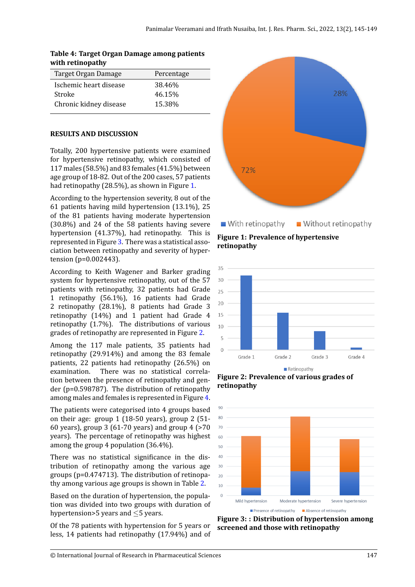# **Table 4: Target Organ Damage among patients with retinopathy**

| Target Organ Damage    | Percentage |
|------------------------|------------|
| Ischemic heart disease | 38.46%     |
| Stroke                 | 46.15%     |
| Chronic kidney disease | 15.38%     |
|                        |            |

## **RESULTS AND DISCUSSION**

Totally, 200 hypertensive patients were examined for hypertensive retinopathy, which consisted of 117 males (58.5%) and 83 females (41.5%) between age group of 18-82. Out of the 200 cases, 57 patients had retinopathy (28.5%), as shown in Figure 1.

According to the hypertension severity, 8 out of the 61 patients having mild hypertension (13.1%), 25 of the 81 patients having moderate hypertension (30.8%) and 24 of the 58 patients having [se](#page-2-0)vere hypertension (41.37%), had retinopathy. This is represented in Figure 3. There was a statistical association between retinopathy and severity of hypertension (p=0.002443).

According to Keith Wagener and Barker grading system for hypertens[iv](#page-2-1)e retinopathy, out of the 57 patients with retinopathy, 32 patients had Grade 1 retinopathy (56.1%), 16 patients had Grade 2 retinopathy (28.1%), 8 patients had Grade 3 retinopathy (14%) and 1 patient had Grade 4 retinopathy (1.7%). The distributions of various grades of retinopathy are represented in Figure 2.

Among the 117 male patients, 35 patients had retinopathy (29.914%) and among the 83 female patients, 22 patients had retinopathy (26.5%[\) o](#page-2-2)n examination. There was no statistical correlation between the presence of retinopathy and gender (p=0.598787). The distribution of retinopathy among males and females is represented in Figure 4.

The patients were categorised into 4 groups based on their age: group 1 (18-50 years), group 2 (51- 60 years), group 3 (61-70 years) and group 4 (>[70](#page-3-0) years). The percentage of retinopathy was highest among the group 4 population (36.4%).

There was no statistical significance in the distribution of retinopathy among the various age groups (p=0.474713). The distribution of retinopathy among various age groups is shown in Table 2.

Based on the duration of hypertension, the population was divided into two groups with duration of hypertension>5 years and *≤*5 years.

Of the 78 patients with hypertension for 5 years or less, 14 patients had retinopathy (17.94%) and of

<span id="page-2-0"></span>

**Figure 1: Prevalence of hypertensive retinopathy**

<span id="page-2-2"></span>

 $\blacksquare$  Retinopathy

**Figure 2: Prevalence of various grades of retinopathy**

<span id="page-2-1"></span>

**Figure 3: : Distribution of hypertension among screened and those with retinopathy**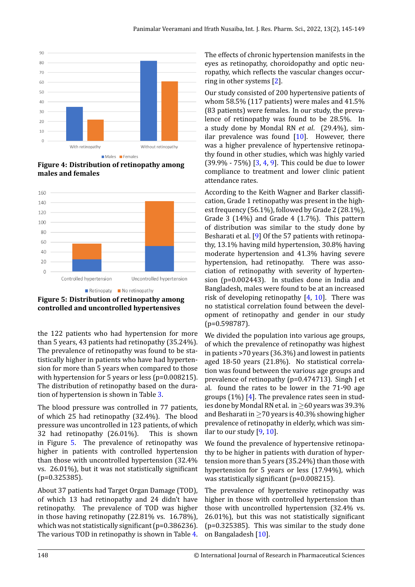<span id="page-3-0"></span>

**Figure 4: Distribution of retinopathy among males and females**

<span id="page-3-1"></span>

**Figure 5: Distribution of retinopathy among controlled and uncontrolled hypertensives**

the 122 patients who had hypertension for more than 5 years, 43 patients had retinopathy (35.24%). The prevalence of retinopathy was found to be statistically higher in patients who have had hypertension for more than 5 years when compared to those with hypertension for 5 years or less (p=0.008215). The distribution of retinopathy based on the duration of hypertension is shown in Table 3.

The blood pressure was controlled in 77 patients, of which 25 had retinopathy (32.4%). The blood pressure was uncontrolled in 123 pati[en](#page-1-1)ts, of which 32 had retinopathy (26.01%). This is shown in Figure 5. The prevalence of retinopathy was higher in patients with controlled hypertension than those with uncontrolled hypertension (32.4% vs.  $26.01\%$ ), but it was not statistically significant (p=0.3253[85](#page-3-1)).

About 37 patients had Target Organ Damage (TOD), of which 13 had retinopathy and 24 didn't have retinopathy. The prevalence of TOD was higher in those having retinopathy (22.81% vs. 16.78%), which was not statistically significant ( $p=0.386236$ ). The various TOD in retinopathy is shown in Table 4. The effects of chronic hypertension manifests in the eyes as retinopathy, choroidopathy and optic neuropathy, which reflects the vascular changes occurring in other systems [2].

Our study consisted of 200 hypertensive patients of whom 58.5% (117 patients) were males and 41.5% (83 patients) were females. In our study, the prevalence of retinopathy [w](#page-4-0)as found to be 28.5%. In a study done by Mondal RN *et al*. (29.4%), similar prevalence was found  $[10]$ . However, there was a higher prevalence of hypertensive retinopathy found in other studies, which was highly varied  $(39.9\% - 75\%)$   $[3, 4, 9]$ . This could be due to lower compliance to treatment an[d lo](#page-4-10)wer clinic patient attendance rates.

According to the Keith Wagner and Barker classification, Grade 1 [ret](#page-4-1)[in](#page-4-3)[op](#page-4-11)athy was present in the highest frequency (56.1%), followed by Grade 2 (28.1%), Grade 3 (14%) and Grade 4 (1.7%). This pattern of distribution was similar to the study done by Besharati et al. [9] Of the 57 patients with retinopathy, 13.1% having mild hypertension, 30.8% having moderate hypertension and 41.3% having severe hypertension, had retinopathy. There was association of retin[op](#page-4-11)athy with severity of hypertension (p=0.002443). In studies done in India and Bangladesh, males were found to be at an increased risk of developing retinopathy  $[4, 10]$ . There was no statistical correlation found between the development of retinopathy and gender in our study (p=0.598787).

We divided the population into [va](#page-4-3)r[iou](#page-4-10)s age groups, of which the prevalence of retinopathy was highest in patients >70 years (36.3%) and lowest in patients aged 18-50 years (21.8%). No statistical correlation was found between the various age groups and prevalence of retinopathy (p=0.474713). Singh J et al. found the rates to be lower in the 71-90 age groups  $(1\%)$  [4]. The prevalence rates seen in studies done by Mondal RN et al. in*≥*60 years was 39.3% and Besharati in *≥*70 years is 40.3% showing higher prevalence of retinopathy in elderly, which was similar to our stu[dy](#page-4-3) [9, 10].

We found the prevalence of hypertensive retinopathy to be higher in patients with duration of hypertension more than 5 years (35.24%) than those with hypertension for [5](#page-4-11) [ye](#page-4-10)ars or less (17.94%), which was statistically significant ( $p=0.008215$ ).

The prevalence of hypertensive retinopathy was higher in those with controlled hypertension than those with uncontrolled hypertension (32.4% vs.  $26.01\%$ ), but this was not statistically significant (p=0.325385). This was similar to the study done on Bangaladesh [10].